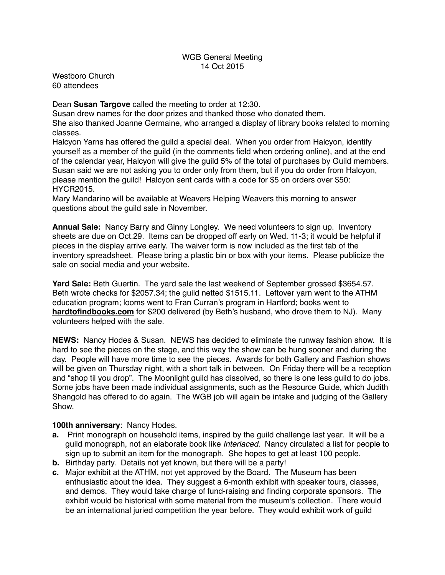## WGB General Meeting 14 Oct 2015

Westboro Church 60 attendees

## Dean **Susan Targove** called the meeting to order at 12:30.

Susan drew names for the door prizes and thanked those who donated them. She also thanked Joanne Germaine, who arranged a display of library books related to morning classes.

Halcyon Yarns has offered the guild a special deal. When you order from Halcyon, identify yourself as a member of the guild (in the comments field when ordering online), and at the end of the calendar year, Halcyon will give the guild 5% of the total of purchases by Guild members. Susan said we are not asking you to order only from them, but if you do order from Halcyon, please mention the guild! Halcyon sent cards with a code for \$5 on orders over \$50: HYCR2015.

Mary Mandarino will be available at Weavers Helping Weavers this morning to answer questions about the guild sale in November.

**Annual Sale:** Nancy Barry and Ginny Longley. We need volunteers to sign up. Inventory sheets are due on Oct.29. Items can be dropped off early on Wed. 11-3; it would be helpful if pieces in the display arrive early. The waiver form is now included as the first tab of the inventory spreadsheet. Please bring a plastic bin or box with your items. Please publicize the sale on social media and your website.

**Yard Sale:** Beth Guertin. The yard sale the last weekend of September grossed \$3654.57. Beth wrote checks for \$2057.34; the guild netted \$1515.11. Leftover yarn went to the ATHM education program; looms went to Fran Curran's program in Hartford; books went to **[hardtofindbooks.com](http://hardtofindbooks.com)** for \$200 delivered (by Beth's husband, who drove them to NJ). Many volunteers helped with the sale.

**NEWS:** Nancy Hodes & Susan. NEWS has decided to eliminate the runway fashion show. It is hard to see the pieces on the stage, and this way the show can be hung sooner and during the day. People will have more time to see the pieces. Awards for both Gallery and Fashion shows will be given on Thursday night, with a short talk in between. On Friday there will be a reception and "shop til you drop". The Moonlight guild has dissolved, so there is one less guild to do jobs. Some jobs have been made individual assignments, such as the Resource Guide, which Judith Shangold has offered to do again. The WGB job will again be intake and judging of the Gallery Show.

## **100th anniversary**: Nancy Hodes.

- **a.** Print monograph on household items, inspired by the guild challenge last year. It will be a guild monograph, not an elaborate book like *Interlaced*. Nancy circulated a list for people to sign up to submit an item for the monograph. She hopes to get at least 100 people.
- **b.** Birthday party. Details not yet known, but there will be a party!
- **c.** Major exhibit at the ATHM, not yet approved by the Board. The Museum has been enthusiastic about the idea. They suggest a 6-month exhibit with speaker tours, classes, and demos. They would take charge of fund-raising and finding corporate sponsors. The exhibit would be historical with some material from the museum's collection. There would be an international juried competition the year before. They would exhibit work of guild